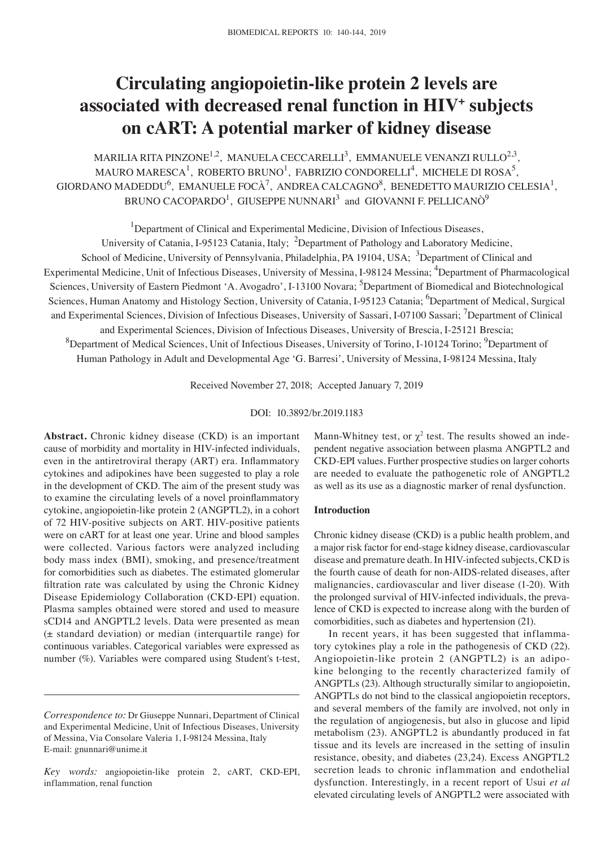# **Circulating angiopoietin‑like protein 2 levels are associated with decreased renal function in HIV+ subjects on cART: A potential marker of kidney disease**

MARILIA RITA PINZONE<sup>1,2</sup>, MANUELA CECCARELLI<sup>3</sup>, EMMANUELE VENANZI RULLO<sup>2,3</sup>, MAURO MARESCA<sup>1</sup>, ROBERTO BRUNO<sup>1</sup>, FABRIZIO CONDORELLI<sup>4</sup>, MICHELE DI ROSA<sup>5</sup>, GIORDANO MADEDDU<sup>6</sup>, EMANUELE FOCÀ<sup>7</sup>, ANDREA CALCAGNO<sup>8</sup>, BENEDETTO MAURIZIO CELESIA<sup>1</sup>, BRUNO CACOPARDO $^1$ , GIUSEPPE NUNNARI $^3$  and GIOVANNI F. PELLICANÒ $^9$ 

<sup>1</sup>Department of Clinical and Experimental Medicine, Division of Infectious Diseases,

University of Catania, I-95123 Catania, Italy; <sup>2</sup>Department of Pathology and Laboratory Medicine, School of Medicine, University of Pennsylvania, Philadelphia, PA 19104, USA; <sup>3</sup>Department of Clinical and Experimental Medicine, Unit of Infectious Diseases, University of Messina, I-98124 Messina; <sup>4</sup>Department of Pharmacological Sciences, University of Eastern Piedmont 'A. Avogadro', I-13100 Novara; <sup>5</sup>Department of Biomedical and Biotechnological Sciences, Human Anatomy and Histology Section, University of Catania, I-95123 Catania; <sup>6</sup>Department of Medical, Surgical and Experimental Sciences, Division of Infectious Diseases, University of Sassari, I-07100 Sassari; <sup>7</sup>Department of Clinical and Experimental Sciences, Division of Infectious Diseases, University of Brescia, I-25121 Brescia; <sup>8</sup>Department of Medical Sciences, Unit of Infectious Diseases, University of Torino, I-10124 Torino; <sup>9</sup>Department of Human Pathology in Adult and Developmental Age 'G. Barresi', University of Messina, I-98124 Messina, Italy

Received November 27, 2018; Accepted January 7, 2019

DOI: 10.3892/br.2019.1183

**Abstract.** Chronic kidney disease (CKD) is an important cause of morbidity and mortality in HIV-infected individuals, even in the antiretroviral therapy (ART) era. Inflammatory cytokines and adipokines have been suggested to play a role in the development of CKD. The aim of the present study was to examine the circulating levels of a novel proinflammatory cytokine, angiopoietin-like protein 2 (ANGPTL2), in a cohort of 72 HIV-positive subjects on ART. HIV-positive patients were on cART for at least one year. Urine and blood samples were collected. Various factors were analyzed including body mass index (BMI), smoking, and presence/treatment for comorbidities such as diabetes. The estimated glomerular filtration rate was calculated by using the Chronic Kidney Disease Epidemiology Collaboration (CKD-EPI) equation. Plasma samples obtained were stored and used to measure sCD14 and ANGPTL2 levels. Data were presented as mean (± standard deviation) or median (interquartile range) for continuous variables. Categorical variables were expressed as number (%). Variables were compared using Student's t-test,

Mann-Whitney test, or  $\chi^2$  test. The results showed an independent negative association between plasma ANGPTL2 and CKD-EPI values. Further prospective studies on larger cohorts are needed to evaluate the pathogenetic role of ANGPTL2 as well as its use as a diagnostic marker of renal dysfunction.

# **Introduction**

Chronic kidney disease (CKD) is a public health problem, and a major risk factor for end-stage kidney disease, cardiovascular disease and premature death. In HIV-infected subjects, CKD is the fourth cause of death for non-AIDS-related diseases, after malignancies, cardiovascular and liver disease (1-20). With the prolonged survival of HIV-infected individuals, the prevalence of CKD is expected to increase along with the burden of comorbidities, such as diabetes and hypertension (21).

In recent years, it has been suggested that inflammatory cytokines play a role in the pathogenesis of CKD (22). Angiopoietin-like protein 2 (ANGPTL2) is an adipokine belonging to the recently characterized family of ANGPTLs (23). Although structurally similar to angiopoietin, ANGPTLs do not bind to the classical angiopoietin receptors, and several members of the family are involved, not only in the regulation of angiogenesis, but also in glucose and lipid metabolism (23). ANGPTL2 is abundantly produced in fat tissue and its levels are increased in the setting of insulin resistance, obesity, and diabetes (23,24). Excess ANGPTL2 secretion leads to chronic inflammation and endothelial dysfunction. Interestingly, in a recent report of Usui *et al* elevated circulating levels of ANGPTL2 were associated with

*Correspondence to:* Dr Giuseppe Nunnari, Department of Clinical and Experimental Medicine, Unit of Infectious Diseases, University of Messina, Via Consolare Valeria 1, I-98124 Messina, Italy E-mail: gnunnari@unime.it

*Key words:* angiopoietin-like protein 2, cART, CKD-EPI, inflammation, renal function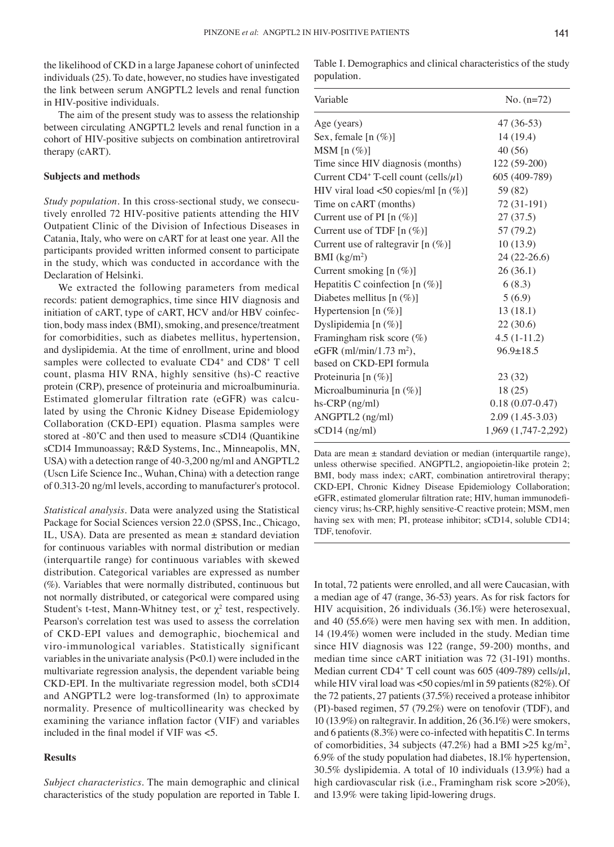the likelihood of CKD in a large Japanese cohort of uninfected individuals (25). To date, however, no studies have investigated the link between serum ANGPTL2 levels and renal function in HIV-positive individuals.

The aim of the present study was to assess the relationship between circulating ANGPTL2 levels and renal function in a cohort of HIV-positive subjects on combination antiretroviral therapy (cART).

### **Subjects and methods**

*Study population.* In this cross-sectional study, we consecutively enrolled 72 HIV-positive patients attending the HIV Outpatient Clinic of the Division of Infectious Diseases in Catania, Italy, who were on cART for at least one year. All the participants provided written informed consent to participate in the study, which was conducted in accordance with the Declaration of Helsinki.

We extracted the following parameters from medical records: patient demographics, time since HIV diagnosis and initiation of cART, type of cART, HCV and/or HBV coinfection, body mass index (BMI), smoking, and presence/treatment for comorbidities, such as diabetes mellitus, hypertension, and dyslipidemia. At the time of enrollment, urine and blood samples were collected to evaluate CD4<sup>+</sup> and CD8<sup>+</sup> T cell count, plasma HIV RNA, highly sensitive (hs)-C reactive protein (CRP), presence of proteinuria and microalbuminuria. Estimated glomerular filtration rate (eGFR) was calculated by using the Chronic Kidney Disease Epidemiology Collaboration (CKD-EPI) equation. Plasma samples were stored at -80°C and then used to measure sCD14 (Quantikine sCD14 Immunoassay; R&D Systems, Inc., Minneapolis, MN, USA) with a detection range of 40-3,200 ng/ml and ANGPTL2 (Uscn Life Science Inc., Wuhan, China) with a detection range of 0.313-20 ng/ml levels, according to manufacturer's protocol.

*Statistical analysis.* Data were analyzed using the Statistical Package for Social Sciences version 22.0 (SPSS, Inc., Chicago, IL, USA). Data are presented as mean ± standard deviation for continuous variables with normal distribution or median (interquartile range) for continuous variables with skewed distribution. Categorical variables are expressed as number (%). Variables that were normally distributed, continuous but not normally distributed, or categorical were compared using Student's t-test, Mann-Whitney test, or  $\chi^2$  test, respectively. Pearson's correlation test was used to assess the correlation of CKD-EPI values and demographic, biochemical and viro-immunological variables. Statistically significant variables in the univariate analysis (P<0.1) were included in the multivariate regression analysis, the dependent variable being CKD-EPI. In the multivariate regression model, both sCD14 and ANGPTL2 were log-transformed (ln) to approximate normality. Presence of multicollinearity was checked by examining the variance inflation factor (VIF) and variables included in the final model if VIF was <5.

#### **Results**

*Subject characteristics.* The main demographic and clinical characteristics of the study population are reported in Table I. Table I. Demographics and clinical characteristics of the study population.

| Variable                                               | No. $(n=72)$        |
|--------------------------------------------------------|---------------------|
| Age (years)                                            | $47(36-53)$         |
| Sex, female $[n (\%)]$                                 | 14 (19.4)           |
| $MSM$ [n $(\%)$ ]                                      | 40 (56)             |
| Time since HIV diagnosis (months)                      | 122 (59-200)        |
| Current CD4 <sup>+</sup> T-cell count (cells/ $\mu$ l) | 605 (409-789)       |
| HIV viral load <50 copies/ml [n $(\%)$ ]               | 59 (82)             |
| Time on cART (months)                                  | 72 (31-191)         |
| Current use of PI [n $(\%)$ ]                          | 27(37.5)            |
| Current use of TDF $[n (\%)]$                          | 57 (79.2)           |
| Current use of raltegravir $[n (\%)]$                  | 10(13.9)            |
| BMI (kg/m <sup>2</sup> )                               | 24 (22-26.6)        |
| Current smoking [n (%)]                                | 26(36.1)            |
| Hepatitis C coinfection $[n (\%)]$                     | 6(8.3)              |
| Diabetes mellitus $[n (\%)]$                           | 5(6.9)              |
| Hypertension [n (%)]                                   | 13(18.1)            |
| Dyslipidemia [n $(\%)$ ]                               | 22(30.6)            |
| Framingham risk score (%)                              | $4.5(1-11.2)$       |
| eGFR (ml/min/1.73 m <sup>2</sup> ),                    | $96.9 \pm 18.5$     |
| based on CKD-EPI formula                               |                     |
| Proteinuria [n (%)]                                    | 23(32)              |
| Microalbuminuria $[n (\%)]$                            | 18 (25)             |
| $hs-CRP$ (ng/ml)                                       | $0.18(0.07 - 0.47)$ |
| ANGPTL2 (ng/ml)                                        | $2.09(1.45-3.03)$   |
| $sCD14$ (ng/ml)                                        | 1,969 (1,747-2,292) |

Data are mean  $\pm$  standard deviation or median (interquartile range), unless otherwise specified. ANGPTL2, angiopoietin-like protein 2; BMI, body mass index; cART, combination antiretroviral therapy; CKD-EPI, Chronic Kidney Disease Epidemiology Collaboration; eGFR, estimated glomerular filtration rate; HIV, human immunodeficiency virus; hs-CRP, highly sensitive-C reactive protein; MSM, men having sex with men; PI, protease inhibitor; sCD14, soluble CD14; TDF, tenofovir.

In total, 72 patients were enrolled, and all were Caucasian, with a median age of 47 (range, 36-53) years. As for risk factors for HIV acquisition, 26 individuals (36.1%) were heterosexual, and 40 (55.6%) were men having sex with men. In addition, 14 (19.4%) women were included in the study. Median time since HIV diagnosis was 122 (range, 59-200) months, and median time since cART initiation was 72 (31-191) months. Median current CD4<sup>+</sup> T cell count was 605 (409-789) cells/ $\mu$ l, while HIV viral load was <50 copies/ml in 59 patients (82%). Of the 72 patients, 27 patients (37.5%) received a protease inhibitor (PI)-based regimen, 57 (79.2%) were on tenofovir (TDF), and 10 (13.9%) on raltegravir. In addition, 26 (36.1%) were smokers, and 6 patients (8.3%) were co-infected with hepatitis C. In terms of comorbidities, 34 subjects (47.2%) had a BMI  $>25$  kg/m<sup>2</sup>, 6.9% of the study population had diabetes, 18.1% hypertension, 30.5% dyslipidemia. A total of 10 individuals (13.9%) had a high cardiovascular risk (i.e., Framingham risk score >20%), and 13.9% were taking lipid-lowering drugs.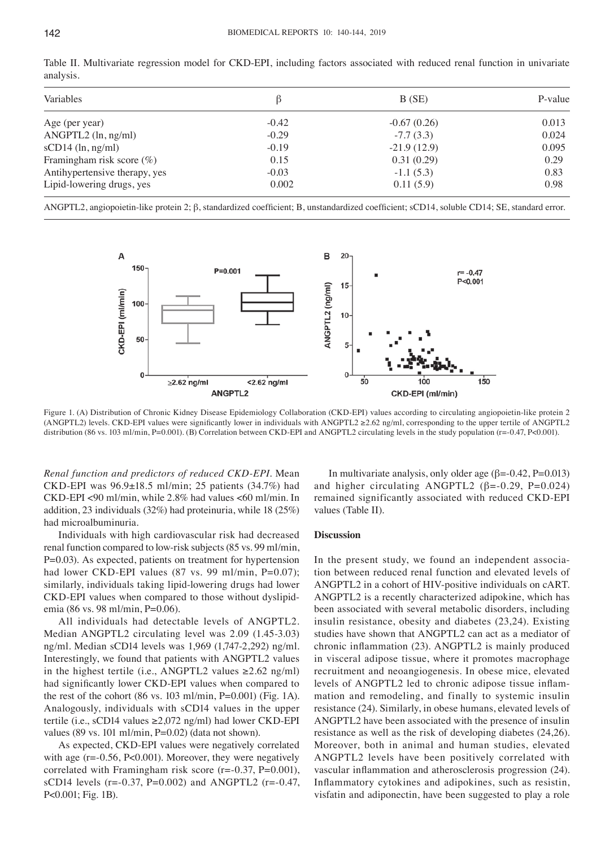| Variables                     |         | B(SE)         | P-value |  |
|-------------------------------|---------|---------------|---------|--|
| Age (per year)                | $-0.42$ | $-0.67(0.26)$ | 0.013   |  |
| $ANGPTL2$ (ln, ng/ml)         | $-0.29$ | $-7.7(3.3)$   | 0.024   |  |
| $sCD14$ (ln, ng/ml)           | $-0.19$ | $-21.9(12.9)$ | 0.095   |  |
| Framingham risk score $(\%)$  | 0.15    | 0.31(0.29)    | 0.29    |  |
| Antihypertensive therapy, yes | $-0.03$ | $-1.1(5.3)$   | 0.83    |  |
| Lipid-lowering drugs, yes     | 0.002   | 0.11(5.9)     | 0.98    |  |
|                               |         |               |         |  |

Table II. Multivariate regression model for CKD-EPI, including factors associated with reduced renal function in univariate analysis.

ANGPTL2, angiopoietin-like protein 2; β, standardized coefficient; B, unstandardized coefficient; sCD14, soluble CD14; SE, standard error.



Figure 1. (A) Distribution of Chronic Kidney Disease Epidemiology Collaboration (CKD-EPI) values according to circulating angiopoietin-like protein 2 (ANGPTL2) levels. CKD‑EPI values were significantly lower in individuals with ANGPTL2 ≥2.62 ng/ml, corresponding to the upper tertile of ANGPTL2 distribution (86 vs. 103 ml/min, P=0.001). (B) Correlation between CKD-EPI and ANGPTL2 circulating levels in the study population (r=-0.47, P<0.001).

*Renal function and predictors of reduced CKD‑EPI.* Mean CKD-EPI was 96.9±18.5 ml/min; 25 patients (34.7%) had CKD-EPI <90 ml/min, while 2.8% had values <60 ml/min. In addition, 23 individuals (32%) had proteinuria, while 18 (25%) had microalbuminuria.

Individuals with high cardiovascular risk had decreased renal function compared to low-risk subjects (85 vs. 99 ml/min, P=0.03). As expected, patients on treatment for hypertension had lower CKD-EPI values (87 vs. 99 ml/min, P=0.07); similarly, individuals taking lipid-lowering drugs had lower CKD-EPI values when compared to those without dyslipidemia (86 vs. 98 ml/min, P=0.06).

All individuals had detectable levels of ANGPTL2. Median ANGPTL2 circulating level was 2.09 (1.45-3.03) ng/ml. Median sCD14 levels was 1,969 (1,747-2,292) ng/ml. Interestingly, we found that patients with ANGPTL2 values in the highest tertile (i.e., ANGPTL2 values  $\geq 2.62$  ng/ml) had significantly lower CKD‑EPI values when compared to the rest of the cohort (86 vs. 103 ml/min,  $P=0.001$ ) (Fig. 1A). Analogously, individuals with sCD14 values in the upper tertile (i.e., sCD14 values ≥2,072 ng/ml) had lower CKD-EPI values (89 vs. 101 ml/min,  $P=0.02$ ) (data not shown).

As expected, CKD-EPI values were negatively correlated with age (r=-0.56, P<0.001). Moreover, they were negatively correlated with Framingham risk score ( $r = -0.37$ ,  $P = 0.001$ ), sCD14 levels (r= $-0.37$ , P= $0.002$ ) and ANGPTL2 (r= $-0.47$ , P<0.001; Fig. 1B).

In multivariate analysis, only older age  $(\beta = 0.42, P = 0.013)$ and higher circulating ANGPTL2 ( $\beta$ =-0.29, P=0.024) remained significantly associated with reduced CKD-EPI values (Table II).

## **Discussion**

In the present study, we found an independent association between reduced renal function and elevated levels of ANGPTL2 in a cohort of HIV-positive individuals on cART. ANGPTL2 is a recently characterized adipokine, which has been associated with several metabolic disorders, including insulin resistance, obesity and diabetes (23,24). Existing studies have shown that ANGPTL2 can act as a mediator of chronic inflammation (23). ANGPTL2 is mainly produced in visceral adipose tissue, where it promotes macrophage recruitment and neoangiogenesis. In obese mice, elevated levels of ANGPTL2 led to chronic adipose tissue inflammation and remodeling, and finally to systemic insulin resistance (24). Similarly, in obese humans, elevated levels of ANGPTL2 have been associated with the presence of insulin resistance as well as the risk of developing diabetes (24,26). Moreover, both in animal and human studies, elevated ANGPTL2 levels have been positively correlated with vascular inflammation and atherosclerosis progression (24). Inflammatory cytokines and adipokines, such as resistin, visfatin and adiponectin, have been suggested to play a role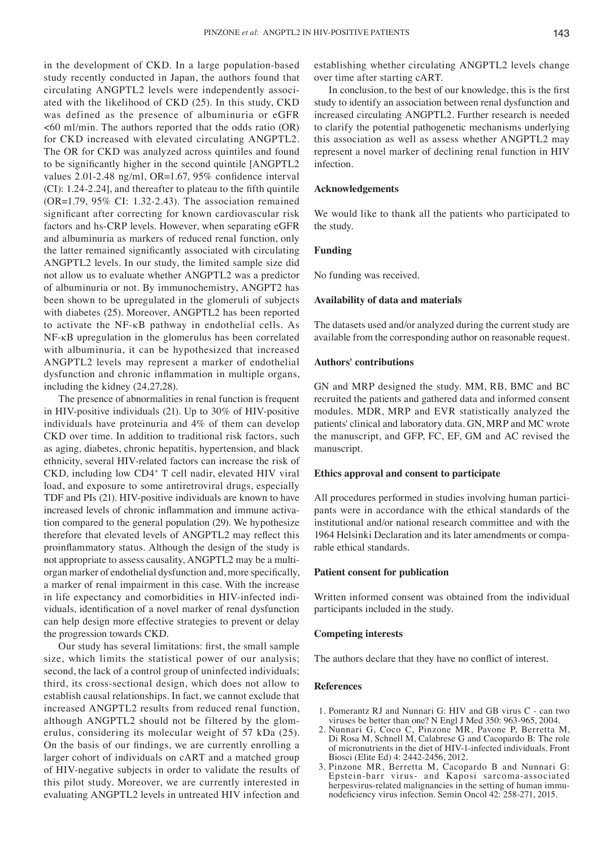in the development of CKD. In a large population-based study recently conducted in Japan, the authors found that circulating ANGPTL2 levels were independently associated with the likelihood of CKD (25). In this study, CKD was defined as the presence of albuminuria or eGFR  $<60$  ml/min. The authors reported that the odds ratio (OR) for CKD increased with elevated circulating ANGPTL2. The OR for CKD was analyzed across quintiles and found to be significantly higher in the second quintile [ANGPTL2 values 2.01-2.48 ng/ml, OR=1.67, 95% confidence interval (CI): 1.24‑2.24], and thereafter to plateau to the fifth quintile (OR=1.79, 95% CI: 1.32-2.43). The association remained significant after correcting for known cardiovascular risk factors and hs-CRP levels. However, when separating eGFR and albuminuria as markers of reduced renal function, only the latter remained significantly associated with circulating ANGPTL2 levels. In our study, the limited sample size did not allow us to evaluate whether ANGPTL2 was a predictor of albuminuria or not. By immunochemistry, ANGPT2 has been shown to be upregulated in the glomeruli of subjects with diabetes (25). Moreover, ANGPTL2 has been reported to activate the NF-κB pathway in endothelial cells. As NF-κB upregulation in the glomerulus has been correlated with albuminuria, it can be hypothesized that increased ANGPTL2 levels may represent a marker of endothelial dysfunction and chronic inflammation in multiple organs, including the kidney (24,27,28).

The presence of abnormalities in renal function is frequent in HIV-positive individuals (21). Up to 30% of HIV-positive individuals have proteinuria and 4% of them can develop CKD over time. In addition to traditional risk factors, such as aging, diabetes, chronic hepatitis, hypertension, and black ethnicity, several HIV-related factors can increase the risk of CKD, including low CD4+ T cell nadir, elevated HIV viral load, and exposure to some antiretroviral drugs, especially TDF and PIs (21). HIV-positive individuals are known to have increased levels of chronic inflammation and immune activation compared to the general population (29). We hypothesize therefore that elevated levels of ANGPTL2 may reflect this proinflammatory status. Although the design of the study is not appropriate to assess causality, ANGPTL2 may be a multiorgan marker of endothelial dysfunction and, more specifically, a marker of renal impairment in this case. With the increase in life expectancy and comorbidities in HIV-infected individuals, identification of a novel marker of renal dysfunction can help design more effective strategies to prevent or delay the progression towards CKD.

Our study has several limitations: first, the small sample size, which limits the statistical power of our analysis; second, the lack of a control group of uninfected individuals; third, its cross-sectional design, which does not allow to establish causal relationships. In fact, we cannot exclude that increased ANGPTL2 results from reduced renal function, although ANGPTL2 should not be filtered by the glomerulus, considering its molecular weight of 57 kDa (25). On the basis of our findings, we are currently enrolling a larger cohort of individuals on cART and a matched group of HIV-negative subjects in order to validate the results of this pilot study. Moreover, we are currently interested in evaluating ANGPTL2 levels in untreated HIV infection and establishing whether circulating ANGPTL2 levels change over time after starting cART.

In conclusion, to the best of our knowledge, this is the first study to identify an association between renal dysfunction and increased circulating ANGPTL2. Further research is needed to clarify the potential pathogenetic mechanisms underlying this association as well as assess whether ANGPTL2 may represent a novel marker of declining renal function in HIV infection.

### **Acknowledgements**

We would like to thank all the patients who participated to the study.

# **Funding**

No funding was received.

### **Availability of data and materials**

The datasets used and/or analyzed during the current study are available from the corresponding author on reasonable request.

## **Authors' contributions**

GN and MRP designed the study. MM, RB, BMC and BC recruited the patients and gathered data and informed consent modules. MDR, MRP and EVR statistically analyzed the patients' clinical and laboratory data. GN, MRP and MC wrote the manuscript, and GFP, FC, EF, GM and AC revised the manuscript.

#### **Ethics approval and consent to participate**

All procedures performed in studies involving human participants were in accordance with the ethical standards of the institutional and/or national research committee and with the 1964 Helsinki Declaration and its later amendments or comparable ethical standards.

## **Patient consent for publication**

Written informed consent was obtained from the individual participants included in the study.

#### **Competing interests**

The authors declare that they have no conflict of interest.

### **References**

- 1. Pomerantz RJ and Nunnari G: HIV and GB virus C can two viruses be better than one? N Engl J Med 350: 963-965, 2004.
- 2. Nunnari G, Coco C, Pinzone MR, Pavone P, Berretta M, Di Rosa M, Schnell M, Calabrese G and Cacopardo B: The role of micronutrients in the diet of HIV-1-infected individuals. Front Biosci (Elite Ed) 4: 2442-2456, 2012.
- 3. Pinzone MR, Berretta M, Cacopardo B and Nunnari G: Epstein-barr virus- and Kaposi sarcoma-associated herpesvirus-related malignancies in the setting of human immu-<br>nodeficiency virus infection. Semin Oncol 42: 258-271, 2015.